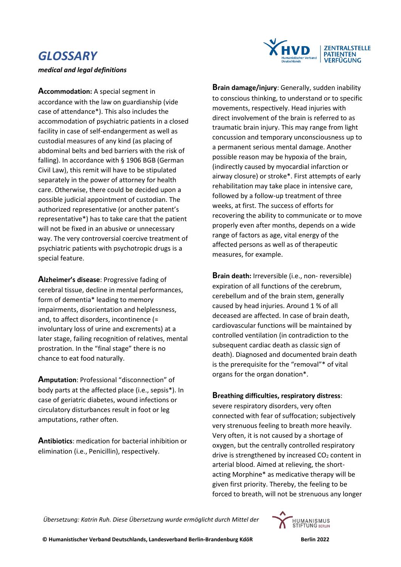## *GLOSSARY*

*medical and legal definitions*



**Accommodation:** A special segment in accordance with the law on guardianship (vide case of attendance\*). This also includes the accommodation of psychiatric patients in a closed facility in case of self-endangerment as well as custodial measures of any kind (as placing of abdominal belts and bed barriers with the risk of falling). In accordance with § 1906 BGB (German Civil Law), this remit will have to be stipulated separately in the power of attorney for health care. Otherwise, there could be decided upon a possible judicial appointment of custodian. The authorized representative (or another patent's representative\*) has to take care that the patient will not be fixed in an abusive or unnecessary way. The very controversial coercive treatment of psychiatric patients with psychotropic drugs is a special feature.

**Alzheimer's disease**: Progressive fading of cerebral tissue, decline in mental performances, form of dementia\* leading to memory impairments, disorientation and helplessness, and, to affect disorders, incontinence (= involuntary loss of urine and excrements) at a later stage, failing recognition of relatives, mental prostration. In the "final stage" there is no chance to eat food naturally.

**Amputation**: Professional "disconnection" of body parts at the affected place (i.e., sepsis\*). In case of geriatric diabetes, wound infections or circulatory disturbances result in foot or leg amputations, rather often.

**Antibiotics**: medication for bacterial inhibition or elimination (i.e., Penicillin), respectively.

**Brain damage/injury**: Generally, sudden inability to conscious thinking, to understand or to specific movements, respectively. Head injuries with direct involvement of the brain is referred to as traumatic brain injury. This may range from light concussion and temporary unconsciousness up to a permanent serious mental damage. Another possible reason may be hypoxia of the brain, (indirectly caused by myocardial infarction or airway closure) or stroke\*. First attempts of early rehabilitation may take place in intensive care, followed by a follow-up treatment of three weeks, at first. The success of efforts for recovering the ability to communicate or to move properly even after months, depends on a wide range of factors as age, vital energy of the affected persons as well as of therapeutic measures, for example.

**Brain death:** Irreversible (i.e., non- reversible) expiration of all functions of the cerebrum, cerebellum and of the brain stem, generally caused by head injuries. Around 1 % of all deceased are affected. In case of brain death, cardiovascular functions will be maintained by controlled ventilation (in contradiction to the subsequent cardiac death as classic sign of death). Diagnosed and documented brain death is the prerequisite for the "removal"\* of vital organs for the organ donation\*.

## **Breathing difficulties, respiratory distress**:

severe respiratory disorders, very often connected with fear of suffocation; subjectively very strenuous feeling to breath more heavily. Very often, it is not caused by a shortage of oxygen, but the centrally controlled respiratory drive is strengthened by increased  $CO<sub>2</sub>$  content in arterial blood. Aimed at relieving, the shortacting Morphine\* as medicative therapy will be given first priority. Thereby, the feeling to be forced to breath, will not be strenuous any longer

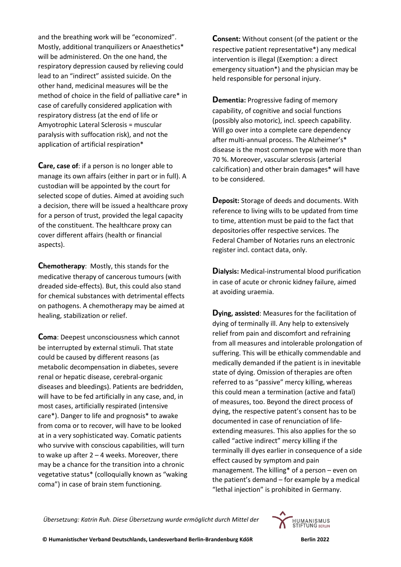and the breathing work will be "economized". Mostly, additional tranquilizers or Anaesthetics\* will be administered. On the one hand, the respiratory depression caused by relieving could lead to an "indirect" assisted suicide. On the other hand, medicinal measures will be the method of choice in the field of palliative care\* in case of carefully considered application with respiratory distress (at the end of life or Amyotrophic Lateral Sclerosis = muscular paralysis with suffocation risk), and not the application of artificial respiration\*

**Care, case of**: if a person is no longer able to manage its own affairs (either in part or in full). A custodian will be appointed by the court for selected scope of duties. Aimed at avoiding such a decision, there will be issued a healthcare proxy for a person of trust, provided the legal capacity of the constituent. The healthcare proxy can cover different affairs (health or financial aspects).

**Chemotherapy**: Mostly, this stands for the medicative therapy of cancerous tumours (with dreaded side-effects). But, this could also stand for chemical substances with detrimental effects on pathogens. A chemotherapy may be aimed at healing, stabilization or relief.

**Coma**: Deepest unconsciousness which cannot be interrupted by external stimuli. That state could be caused by different reasons (as metabolic decompensation in diabetes, severe renal or hepatic disease, cerebral-organic diseases and bleedings). Patients are bedridden, will have to be fed artificially in any case, and, in most cases, artificially respirated (intensive care\*). Danger to life and prognosis\* to awake from coma or to recover, will have to be looked at in a very sophisticated way. Comatic patients who survive with conscious capabilities, will turn to wake up after 2 – 4 weeks. Moreover, there may be a chance for the transition into a chronic vegetative status\* (colloquially known as "waking coma") in case of brain stem functioning.

**Consent:** Without consent (of the patient or the respective patient representative\*) any medical intervention is illegal (Exemption: a direct emergency situation\*) and the physician may be held responsible for personal injury.

**Dementia:** Progressive fading of memory capability, of cognitive and social functions (possibly also motoric), incl. speech capability. Will go over into a complete care dependency after multi-annual process. The Alzheimer's\* disease is the most common type with more than 70 %. Moreover, vascular sclerosis (arterial calcification) and other brain damages\* will have to be considered.

**Deposit:** Storage of deeds and documents. With reference to living wills to be updated from time to time, attention must be paid to the fact that depositories offer respective services. The Federal Chamber of Notaries runs an electronic register incl. contact data, only.

**Dialysis:** Medical-instrumental blood purification in case of acute or chronic kidney failure, aimed at avoiding uraemia.

**Dying, assisted**: Measures for the facilitation of dying of terminally ill. Any help to extensively relief from pain and discomfort and refraining from all measures and intolerable prolongation of suffering. This will be ethically commendable and medically demanded if the patient is in inevitable state of dying. Omission of therapies are often referred to as "passive" mercy killing, whereas this could mean a termination (active and fatal) of measures, too. Beyond the direct process of dying, the respective patent's consent has to be documented in case of renunciation of lifeextending measures. This also applies for the so called "active indirect" mercy killing if the terminally ill dyes earlier in consequence of a side effect caused by symptom and pain management. The killing\* of a person – even on the patient's demand – for example by a medical "lethal injection" is prohibited in Germany.

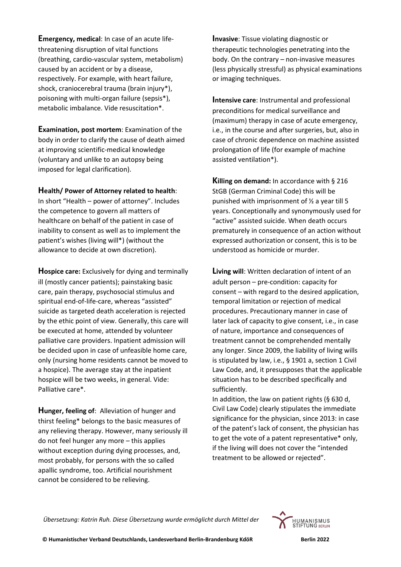**Emergency, medical**: In case of an acute lifethreatening disruption of vital functions (breathing, cardio-vascular system, metabolism) caused by an accident or by a disease, respectively. For example, with heart failure, shock, craniocerebral trauma (brain injury\*), poisoning with multi-organ failure (sepsis\*), metabolic imbalance. Vide resuscitation\*.

**Examination, post mortem**: Examination of the body in order to clarify the cause of death aimed at improving scientific-medical knowledge (voluntary and unlike to an autopsy being imposed for legal clarification).

## **Health/ Power of Attorney related to health**:

In short "Health – power of attorney". Includes the competence to govern all matters of healthcare on behalf of the patient in case of inability to consent as well as to implement the patient's wishes (living will\*) (without the allowance to decide at own discretion).

**Hospice care:** Exclusively for dying and terminally ill (mostly cancer patients); painstaking basic care, pain therapy, psychosocial stimulus and spiritual end-of-life-care, whereas "assisted" suicide as targeted death acceleration is rejected by the ethic point of view. Generally, this care will be executed at home, attended by volunteer palliative care providers. Inpatient admission will be decided upon in case of unfeasible home care, only (nursing home residents cannot be moved to a hospice). The average stay at the inpatient hospice will be two weeks, in general. Vide: Palliative care\*.

**Hunger, feeling of**: Alleviation of hunger and thirst feeling\* belongs to the basic measures of any relieving therapy. However, many seriously ill do not feel hunger any more – this applies without exception during dying processes, and, most probably, for persons with the so called apallic syndrome, too. Artificial nourishment cannot be considered to be relieving.

**Invasive**: Tissue violating diagnostic or therapeutic technologies penetrating into the body. On the contrary – non-invasive measures (less physically stressful) as physical examinations or imaging techniques.

**Intensive care**: Instrumental and professional preconditions for medical surveillance and (maximum) therapy in case of acute emergency, i.e., in the course and after surgeries, but, also in case of chronic dependence on machine assisted prolongation of life (for example of machine assisted ventilation\*).

**Killing on demand:** In accordance with § 216 StGB (German Criminal Code) this will be punished with imprisonment of  $\frac{1}{2}$  a year till 5 years. Conceptionally and synonymously used for "active" assisted suicide. When death occurs prematurely in consequence of an action without expressed authorization or consent, this is to be understood as homicide or murder.

**Living will**: Written declaration of intent of an adult person – pre-condition: capacity for consent – with regard to the desired application, temporal limitation or rejection of medical procedures. Precautionary manner in case of later lack of capacity to give consent, i.e., in case of nature, importance and consequences of treatment cannot be comprehended mentally any longer. Since 2009, the liability of living wills is stipulated by law, i.e., § 1901 a, section 1 Civil Law Code, and, it presupposes that the applicable situation has to be described specifically and sufficiently.

In addition, the law on patient rights (§ 630 d, Civil Law Code) clearly stipulates the immediate significance for the physician, since 2013: in case of the patent's lack of consent, the physician has to get the vote of a patent representative\* only, if the living will does not cover the "intended treatment to be allowed or rejected".

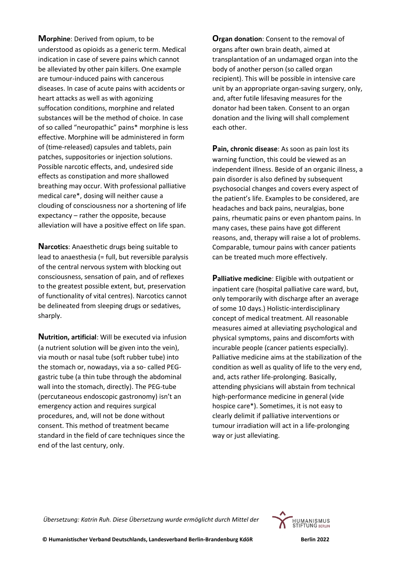**Morphine**: Derived from opium, to be understood as opioids as a generic term. Medical indication in case of severe pains which cannot be alleviated by other pain killers. One example are tumour-induced pains with cancerous diseases. In case of acute pains with accidents or heart attacks as well as with agonizing suffocation conditions, morphine and related substances will be the method of choice. In case of so called "neuropathic" pains\* morphine is less effective. Morphine will be administered in form of (time-released) capsules and tablets, pain patches, suppositories or injection solutions. Possible narcotic effects, and, undesired side effects as constipation and more shallowed breathing may occur. With professional palliative medical care\*, dosing will neither cause a clouding of consciousness nor a shortening of life expectancy – rather the opposite, because alleviation will have a positive effect on life span.

**Narcotics**: Anaesthetic drugs being suitable to lead to anaesthesia (= full, but reversible paralysis of the central nervous system with blocking out consciousness, sensation of pain, and of reflexes to the greatest possible extent, but, preservation of functionality of vital centres). Narcotics cannot be delineated from sleeping drugs or sedatives, sharply.

**Nutrition, artificial**: Will be executed via infusion (a nutrient solution will be given into the vein), via mouth or nasal tube (soft rubber tube) into the stomach or, nowadays, via a so- called PEGgastric tube (a thin tube through the abdominal wall into the stomach, directly). The PEG-tube (percutaneous endoscopic gastronomy) isn't an emergency action and requires surgical procedures, and, will not be done without consent. This method of treatment became standard in the field of care techniques since the end of the last century, only.

**Organ donation**: Consent to the removal of organs after own brain death, aimed at transplantation of an undamaged organ into the body of another person (so called organ recipient). This will be possible in intensive care unit by an appropriate organ-saving surgery, only, and, after futile lifesaving measures for the donator had been taken. Consent to an organ donation and the living will shall complement each other.

**Pain, chronic disease**: As soon as pain lost its warning function, this could be viewed as an independent illness. Beside of an organic illness, a pain disorder is also defined by subsequent psychosocial changes and covers every aspect of the patient's life. Examples to be considered, are headaches and back pains, neuralgias, bone pains, rheumatic pains or even phantom pains. In many cases, these pains have got different reasons, and, therapy will raise a lot of problems. Comparable, tumour pains with cancer patients can be treated much more effectively.

**Palliative medicine**: Eligible with outpatient or inpatient care (hospital palliative care ward, but, only temporarily with discharge after an average of some 10 days.) Holistic-interdisciplinary concept of medical treatment. All reasonable measures aimed at alleviating psychological and physical symptoms, pains and discomforts with incurable people (cancer patients especially). Palliative medicine aims at the stabilization of the condition as well as quality of life to the very end, and, acts rather life-prolonging. Basically, attending physicians will abstain from technical high-performance medicine in general (vide hospice care\*). Sometimes, it is not easy to clearly delimit if palliative interventions or tumour irradiation will act in a life-prolonging way or just alleviating.

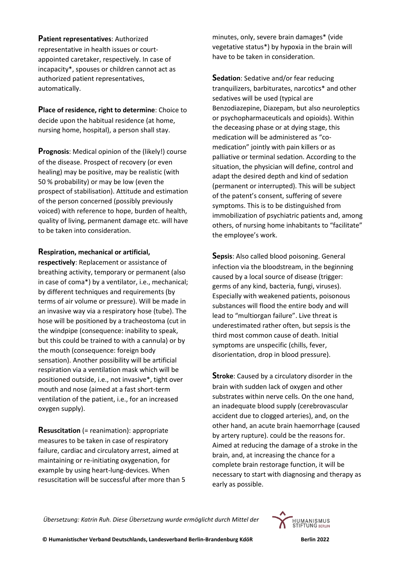**Patient representatives**: Authorized representative in health issues or courtappointed caretaker, respectively. In case of incapacity\*, spouses or children cannot act as authorized patient representatives, automatically.

**Place of residence, right to determine**: Choice to decide upon the habitual residence (at home, nursing home, hospital), a person shall stay.

**Prognosis**: Medical opinion of the (likely!) course of the disease. Prospect of recovery (or even healing) may be positive, may be realistic (with 50 % probability) or may be low (even the prospect of stabilisation). Attitude and estimation of the person concerned (possibly previously voiced) with reference to hope, burden of health, quality of living, permanent damage etc. will have to be taken into consideration.

## **Respiration, mechanical or artificial,**

**respectively**: Replacement or assistance of breathing activity, temporary or permanent (also in case of coma\*) by a ventilator, i.e., mechanical; by different techniques and requirements (by terms of air volume or pressure). Will be made in an invasive way via a respiratory hose (tube). The hose will be positioned by a tracheostoma (cut in the windpipe (consequence: inability to speak, but this could be trained to with a cannula) or by the mouth (consequence: foreign body sensation). Another possibility will be artificial respiration via a ventilation mask which will be positioned outside, i.e., not invasive\*, tight over mouth and nose (aimed at a fast short-term ventilation of the patient, i.e., for an increased oxygen supply).

**Resuscitation** (= reanimation): appropriate measures to be taken in case of respiratory failure, cardiac and circulatory arrest, aimed at maintaining or re-initiating oxygenation, for example by using heart-lung-devices. When resuscitation will be successful after more than 5 minutes, only, severe brain damages\* (vide vegetative status\*) by hypoxia in the brain will have to be taken in consideration.

**Sedation**: Sedative and/or fear reducing tranquilizers, barbiturates, narcotics\* and other sedatives will be used (typical are Benzodiazepine, Diazepam, but also neuroleptics or psychopharmaceuticals and opioids). Within the deceasing phase or at dying stage, this medication will be administered as "comedication" jointly with pain killers or as palliative or terminal sedation. According to the situation, the physician will define, control and adapt the desired depth and kind of sedation (permanent or interrupted). This will be subject of the patent's consent, suffering of severe symptoms. This is to be distinguished from immobilization of psychiatric patients and, among others, of nursing home inhabitants to "facilitate" the employee's work.

**Sepsis**: Also called blood poisoning. General infection via the bloodstream, in the beginning caused by a local source of disease (trigger: germs of any kind, bacteria, fungi, viruses). Especially with weakened patients, poisonous substances will flood the entire body and will lead to "multiorgan failure". Live threat is underestimated rather often, but sepsis is the third most common cause of death. Initial symptoms are unspecific (chills, fever, disorientation, drop in blood pressure).

**Stroke**: Caused by a circulatory disorder in the brain with sudden lack of oxygen and other substrates within nerve cells. On the one hand, an inadequate blood supply (cerebrovascular accident due to clogged arteries), and, on the other hand, an acute brain haemorrhage (caused by artery rupture). could be the reasons for. Aimed at reducing the damage of a stroke in the brain, and, at increasing the chance for a complete brain restorage function, it will be necessary to start with diagnosing and therapy as early as possible.